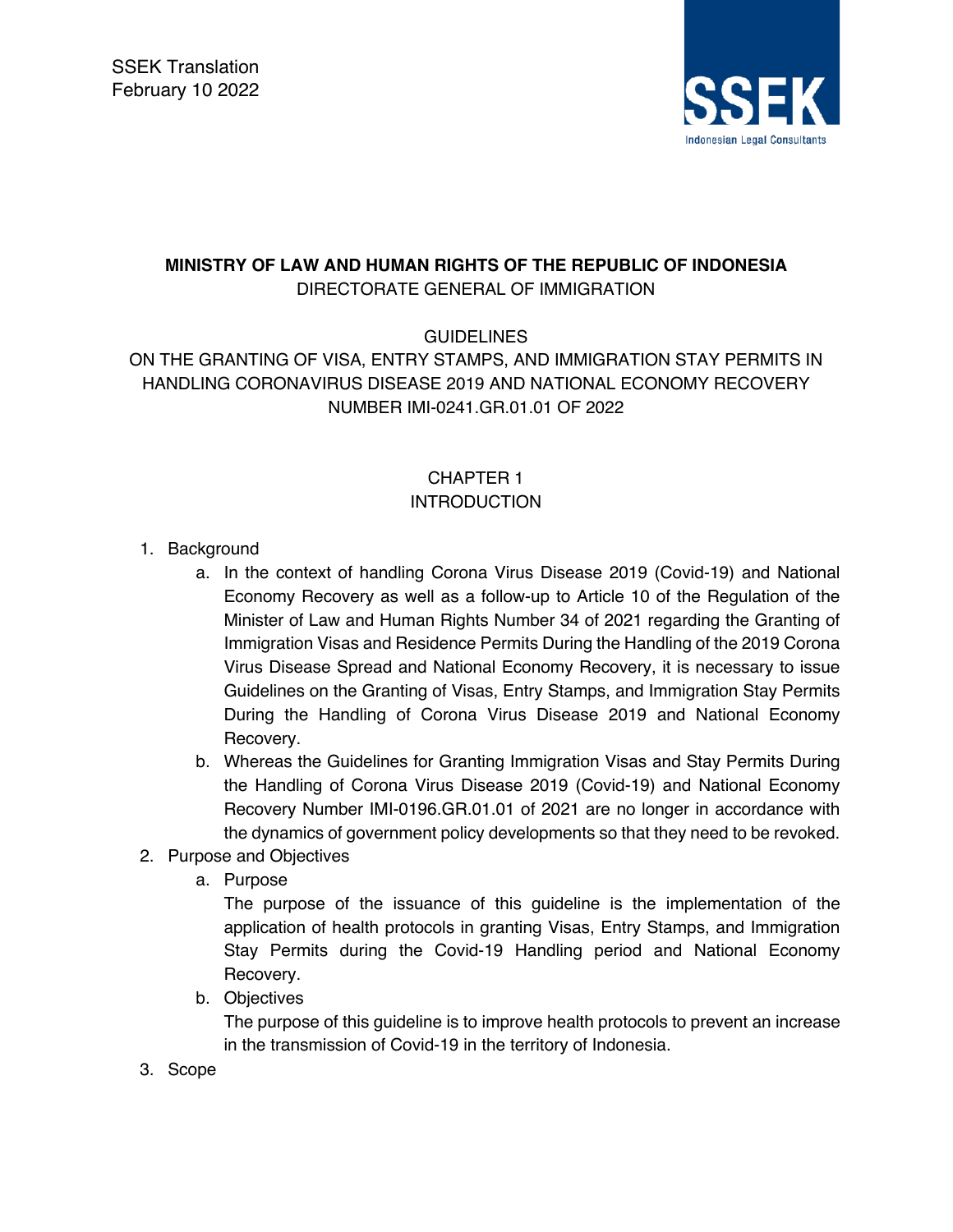

## **MINISTRY OF LAW AND HUMAN RIGHTS OF THE REPUBLIC OF INDONESIA** DIRECTORATE GENERAL OF IMMIGRATION

**GUIDELINES** 

ON THE GRANTING OF VISA, ENTRY STAMPS, AND IMMIGRATION STAY PERMITS IN HANDLING CORONAVIRUS DISEASE 2019 AND NATIONAL ECONOMY RECOVERY NUMBER IMI-0241.GR.01.01 OF 2022

# CHAPTER 1 **INTRODUCTION**

- 1. Background
	- a. In the context of handling Corona Virus Disease 2019 (Covid-19) and National Economy Recovery as well as a follow-up to Article 10 of the Regulation of the Minister of Law and Human Rights Number 34 of 2021 regarding the Granting of Immigration Visas and Residence Permits During the Handling of the 2019 Corona Virus Disease Spread and National Economy Recovery, it is necessary to issue Guidelines on the Granting of Visas, Entry Stamps, and Immigration Stay Permits During the Handling of Corona Virus Disease 2019 and National Economy Recovery.
	- b. Whereas the Guidelines for Granting Immigration Visas and Stay Permits During the Handling of Corona Virus Disease 2019 (Covid-19) and National Economy Recovery Number IMI-0196.GR.01.01 of 2021 are no longer in accordance with the dynamics of government policy developments so that they need to be revoked.
- 2. Purpose and Objectives
	- a. Purpose

The purpose of the issuance of this guideline is the implementation of the application of health protocols in granting Visas, Entry Stamps, and Immigration Stay Permits during the Covid-19 Handling period and National Economy Recovery.

b. Objectives

The purpose of this guideline is to improve health protocols to prevent an increase in the transmission of Covid-19 in the territory of Indonesia.

3. Scope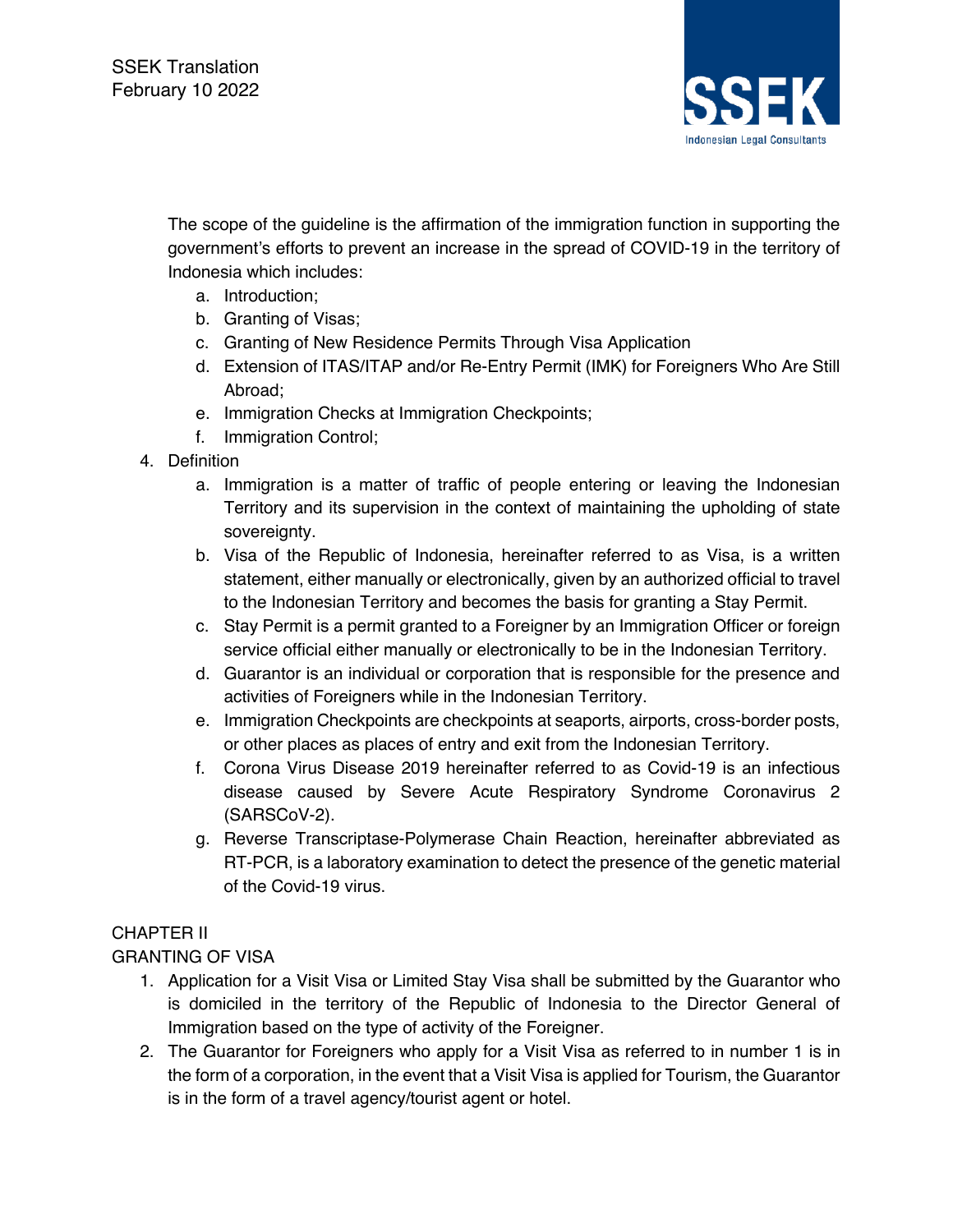

The scope of the guideline is the affirmation of the immigration function in supporting the government's efforts to prevent an increase in the spread of COVID-19 in the territory of Indonesia which includes:

- a. Introduction;
- b. Granting of Visas;
- c. Granting of New Residence Permits Through Visa Application
- d. Extension of ITAS/ITAP and/or Re-Entry Permit (IMK) for Foreigners Who Are Still Abroad;
- e. Immigration Checks at Immigration Checkpoints;
- f. Immigration Control;
- 4. Definition
	- a. Immigration is a matter of traffic of people entering or leaving the Indonesian Territory and its supervision in the context of maintaining the upholding of state sovereignty.
	- b. Visa of the Republic of Indonesia, hereinafter referred to as Visa, is a written statement, either manually or electronically, given by an authorized official to travel to the Indonesian Territory and becomes the basis for granting a Stay Permit.
	- c. Stay Permit is a permit granted to a Foreigner by an Immigration Officer or foreign service official either manually or electronically to be in the Indonesian Territory.
	- d. Guarantor is an individual or corporation that is responsible for the presence and activities of Foreigners while in the Indonesian Territory.
	- e. Immigration Checkpoints are checkpoints at seaports, airports, cross-border posts, or other places as places of entry and exit from the Indonesian Territory.
	- f. Corona Virus Disease 2019 hereinafter referred to as Covid-19 is an infectious disease caused by Severe Acute Respiratory Syndrome Coronavirus 2 (SARSCoV-2).
	- g. Reverse Transcriptase-Polymerase Chain Reaction, hereinafter abbreviated as RT-PCR, is a laboratory examination to detect the presence of the genetic material of the Covid-19 virus.

## CHAPTER II

## GRANTING OF VISA

- 1. Application for a Visit Visa or Limited Stay Visa shall be submitted by the Guarantor who is domiciled in the territory of the Republic of Indonesia to the Director General of Immigration based on the type of activity of the Foreigner.
- 2. The Guarantor for Foreigners who apply for a Visit Visa as referred to in number 1 is in the form of a corporation, in the event that a Visit Visa is applied for Tourism, the Guarantor is in the form of a travel agency/tourist agent or hotel.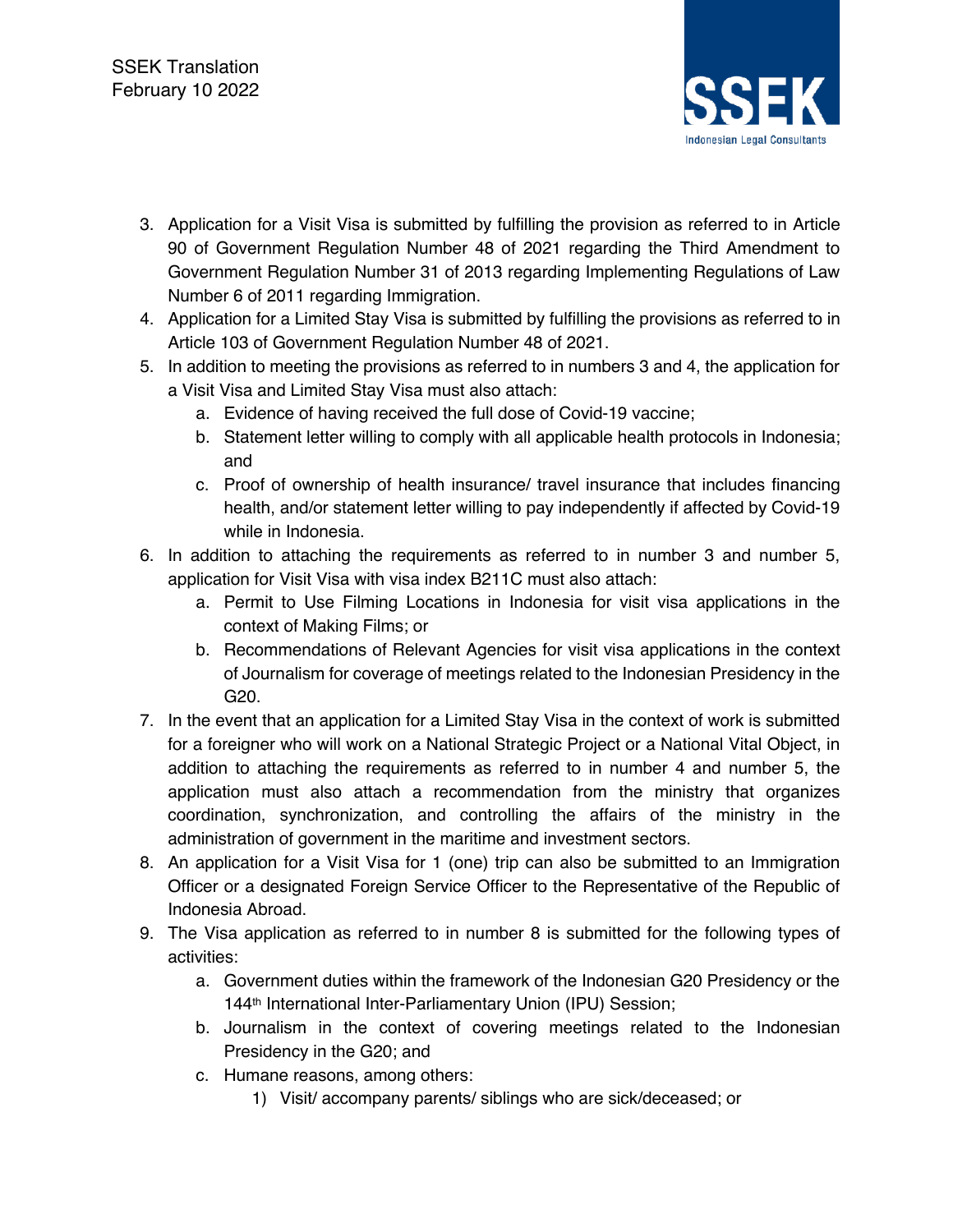

- 3. Application for a Visit Visa is submitted by fulfilling the provision as referred to in Article 90 of Government Regulation Number 48 of 2021 regarding the Third Amendment to Government Regulation Number 31 of 2013 regarding Implementing Regulations of Law Number 6 of 2011 regarding Immigration.
- 4. Application for a Limited Stay Visa is submitted by fulfilling the provisions as referred to in Article 103 of Government Regulation Number 48 of 2021.
- 5. In addition to meeting the provisions as referred to in numbers 3 and 4, the application for a Visit Visa and Limited Stay Visa must also attach:
	- a. Evidence of having received the full dose of Covid-19 vaccine;
	- b. Statement letter willing to comply with all applicable health protocols in Indonesia; and
	- c. Proof of ownership of health insurance/ travel insurance that includes financing health, and/or statement letter willing to pay independently if affected by Covid-19 while in Indonesia.
- 6. In addition to attaching the requirements as referred to in number 3 and number 5, application for Visit Visa with visa index B211C must also attach:
	- a. Permit to Use Filming Locations in Indonesia for visit visa applications in the context of Making Films; or
	- b. Recommendations of Relevant Agencies for visit visa applications in the context of Journalism for coverage of meetings related to the Indonesian Presidency in the G20.
- 7. In the event that an application for a Limited Stay Visa in the context of work is submitted for a foreigner who will work on a National Strategic Project or a National Vital Object, in addition to attaching the requirements as referred to in number 4 and number 5, the application must also attach a recommendation from the ministry that organizes coordination, synchronization, and controlling the affairs of the ministry in the administration of government in the maritime and investment sectors.
- 8. An application for a Visit Visa for 1 (one) trip can also be submitted to an Immigration Officer or a designated Foreign Service Officer to the Representative of the Republic of Indonesia Abroad.
- 9. The Visa application as referred to in number 8 is submitted for the following types of activities:
	- a. Government duties within the framework of the Indonesian G20 Presidency or the 144th International Inter-Parliamentary Union (IPU) Session;
	- b. Journalism in the context of covering meetings related to the Indonesian Presidency in the G20; and
	- c. Humane reasons, among others:
		- 1) Visit/ accompany parents/ siblings who are sick/deceased; or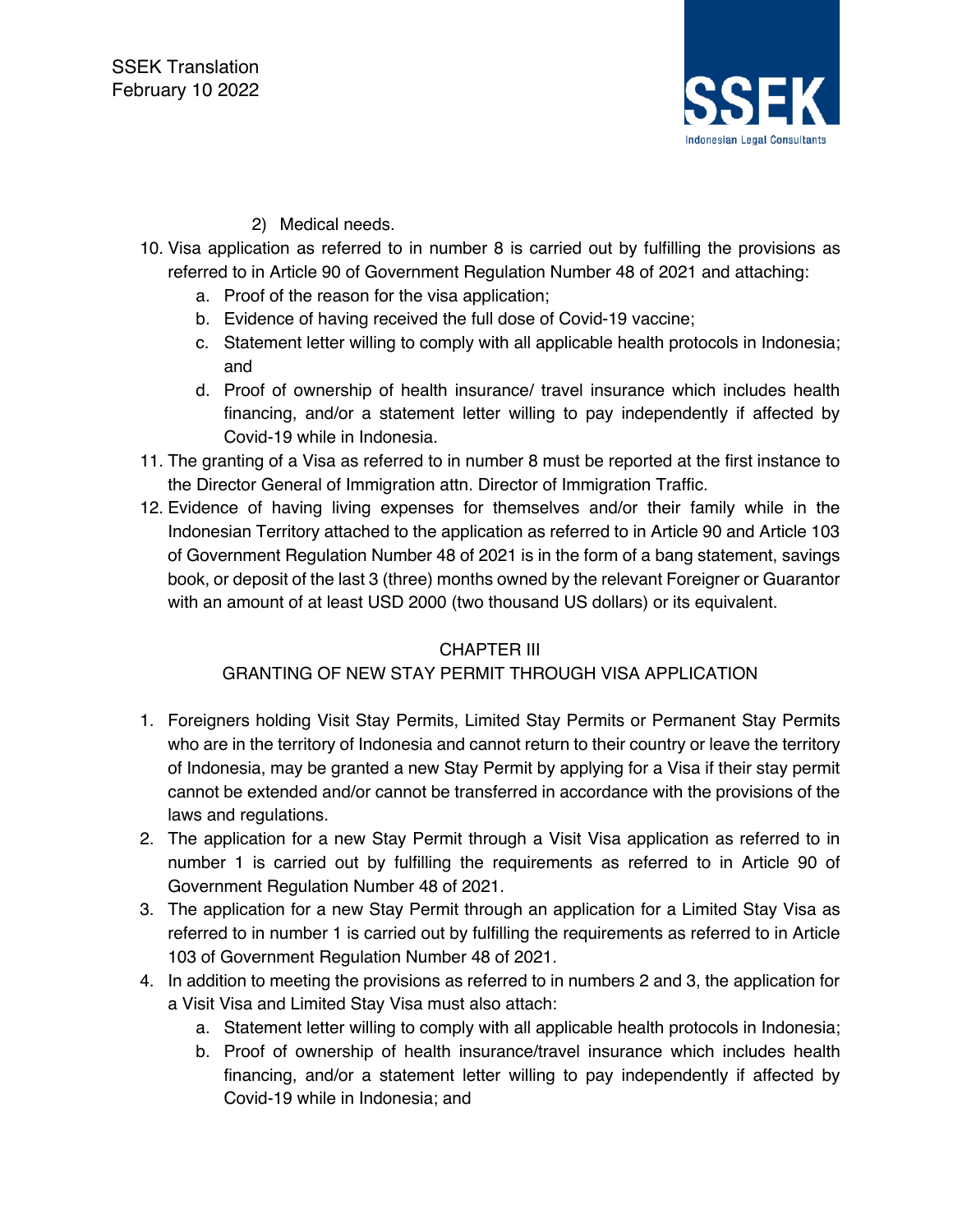

## 2) Medical needs.

- 10. Visa application as referred to in number 8 is carried out by fulfilling the provisions as referred to in Article 90 of Government Regulation Number 48 of 2021 and attaching:
	- a. Proof of the reason for the visa application;
	- b. Evidence of having received the full dose of Covid-19 vaccine;
	- c. Statement letter willing to comply with all applicable health protocols in Indonesia; and
	- d. Proof of ownership of health insurance/ travel insurance which includes health financing, and/or a statement letter willing to pay independently if affected by Covid-19 while in Indonesia.
- 11. The granting of a Visa as referred to in number 8 must be reported at the first instance to the Director General of Immigration attn. Director of Immigration Traffic.
- 12. Evidence of having living expenses for themselves and/or their family while in the Indonesian Territory attached to the application as referred to in Article 90 and Article 103 of Government Regulation Number 48 of 2021 is in the form of a bang statement, savings book, or deposit of the last 3 (three) months owned by the relevant Foreigner or Guarantor with an amount of at least USD 2000 (two thousand US dollars) or its equivalent.

#### CHAPTER III

#### GRANTING OF NEW STAY PERMIT THROUGH VISA APPLICATION

- 1. Foreigners holding Visit Stay Permits, Limited Stay Permits or Permanent Stay Permits who are in the territory of Indonesia and cannot return to their country or leave the territory of Indonesia, may be granted a new Stay Permit by applying for a Visa if their stay permit cannot be extended and/or cannot be transferred in accordance with the provisions of the laws and regulations.
- 2. The application for a new Stay Permit through a Visit Visa application as referred to in number 1 is carried out by fulfilling the requirements as referred to in Article 90 of Government Regulation Number 48 of 2021.
- 3. The application for a new Stay Permit through an application for a Limited Stay Visa as referred to in number 1 is carried out by fulfilling the requirements as referred to in Article 103 of Government Regulation Number 48 of 2021.
- 4. In addition to meeting the provisions as referred to in numbers 2 and 3, the application for a Visit Visa and Limited Stay Visa must also attach:
	- a. Statement letter willing to comply with all applicable health protocols in Indonesia;
	- b. Proof of ownership of health insurance/travel insurance which includes health financing, and/or a statement letter willing to pay independently if affected by Covid-19 while in Indonesia; and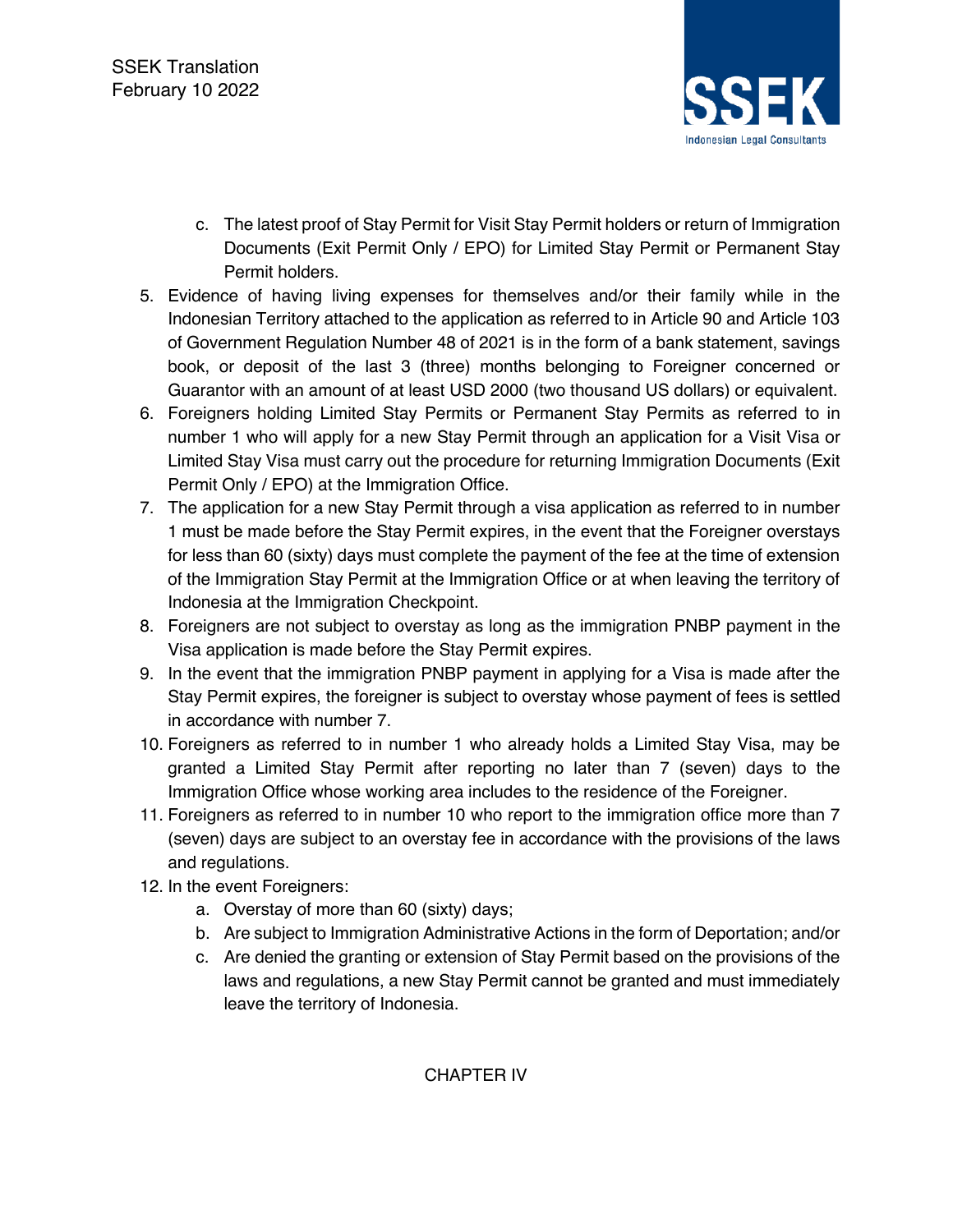

- c. The latest proof of Stay Permit for Visit Stay Permit holders or return of Immigration Documents (Exit Permit Only / EPO) for Limited Stay Permit or Permanent Stay Permit holders.
- 5. Evidence of having living expenses for themselves and/or their family while in the Indonesian Territory attached to the application as referred to in Article 90 and Article 103 of Government Regulation Number 48 of 2021 is in the form of a bank statement, savings book, or deposit of the last 3 (three) months belonging to Foreigner concerned or Guarantor with an amount of at least USD 2000 (two thousand US dollars) or equivalent.
- 6. Foreigners holding Limited Stay Permits or Permanent Stay Permits as referred to in number 1 who will apply for a new Stay Permit through an application for a Visit Visa or Limited Stay Visa must carry out the procedure for returning Immigration Documents (Exit Permit Only / EPO) at the Immigration Office.
- 7. The application for a new Stay Permit through a visa application as referred to in number 1 must be made before the Stay Permit expires, in the event that the Foreigner overstays for less than 60 (sixty) days must complete the payment of the fee at the time of extension of the Immigration Stay Permit at the Immigration Office or at when leaving the territory of Indonesia at the Immigration Checkpoint.
- 8. Foreigners are not subject to overstay as long as the immigration PNBP payment in the Visa application is made before the Stay Permit expires.
- 9. In the event that the immigration PNBP payment in applying for a Visa is made after the Stay Permit expires, the foreigner is subject to overstay whose payment of fees is settled in accordance with number 7.
- 10. Foreigners as referred to in number 1 who already holds a Limited Stay Visa, may be granted a Limited Stay Permit after reporting no later than 7 (seven) days to the Immigration Office whose working area includes to the residence of the Foreigner.
- 11. Foreigners as referred to in number 10 who report to the immigration office more than 7 (seven) days are subject to an overstay fee in accordance with the provisions of the laws and regulations.
- 12. In the event Foreigners:
	- a. Overstay of more than 60 (sixty) days;
	- b. Are subject to Immigration Administrative Actions in the form of Deportation; and/or
	- c. Are denied the granting or extension of Stay Permit based on the provisions of the laws and regulations, a new Stay Permit cannot be granted and must immediately leave the territory of Indonesia.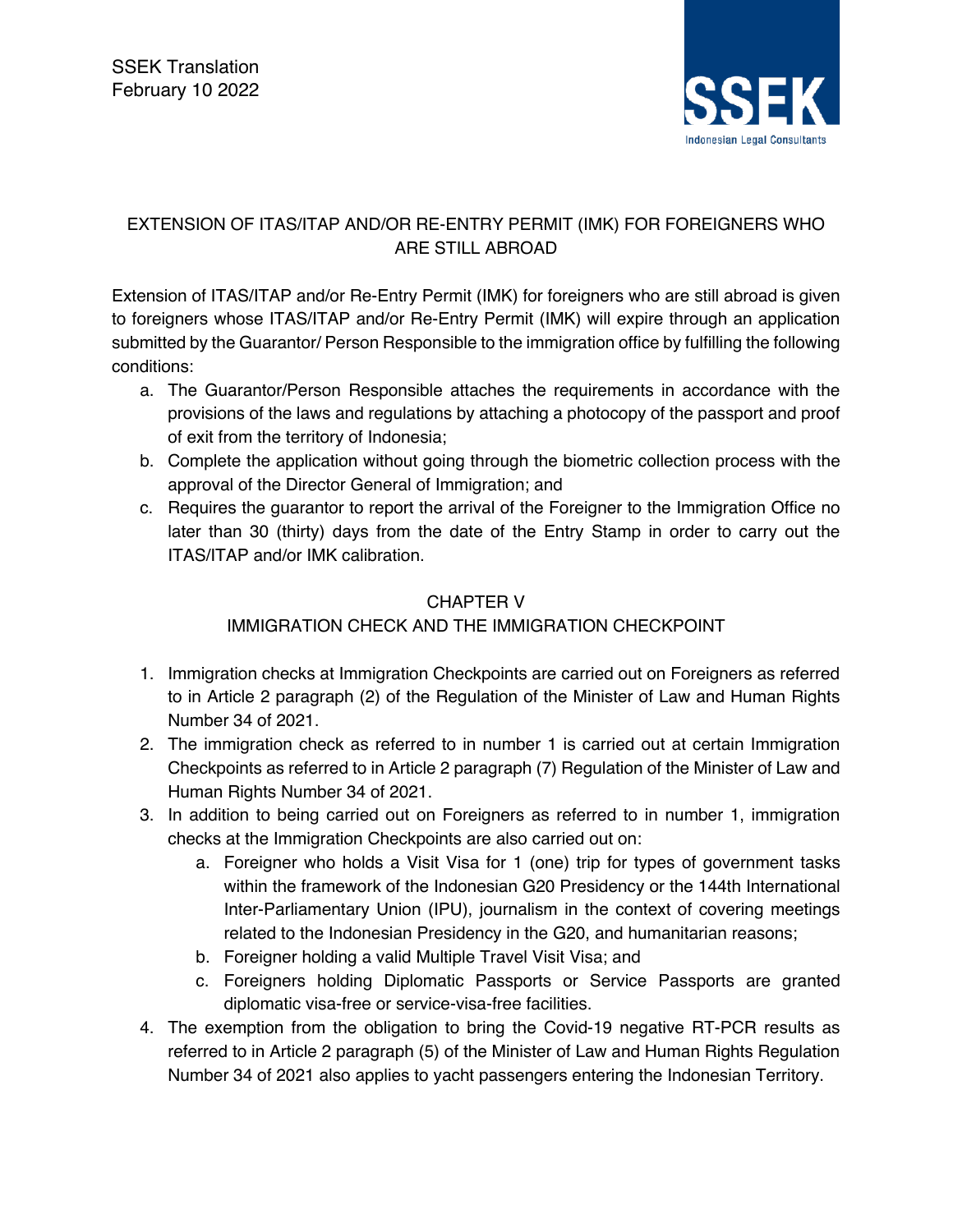

# EXTENSION OF ITAS/ITAP AND/OR RE-ENTRY PERMIT (IMK) FOR FOREIGNERS WHO ARE STILL ABROAD

Extension of ITAS/ITAP and/or Re-Entry Permit (IMK) for foreigners who are still abroad is given to foreigners whose ITAS/ITAP and/or Re-Entry Permit (IMK) will expire through an application submitted by the Guarantor/ Person Responsible to the immigration office by fulfilling the following conditions:

- a. The Guarantor/Person Responsible attaches the requirements in accordance with the provisions of the laws and regulations by attaching a photocopy of the passport and proof of exit from the territory of Indonesia;
- b. Complete the application without going through the biometric collection process with the approval of the Director General of Immigration; and
- c. Requires the guarantor to report the arrival of the Foreigner to the Immigration Office no later than 30 (thirty) days from the date of the Entry Stamp in order to carry out the ITAS/ITAP and/or IMK calibration.

#### CHAPTER V

# IMMIGRATION CHECK AND THE IMMIGRATION CHECKPOINT

- 1. Immigration checks at Immigration Checkpoints are carried out on Foreigners as referred to in Article 2 paragraph (2) of the Regulation of the Minister of Law and Human Rights Number 34 of 2021.
- 2. The immigration check as referred to in number 1 is carried out at certain Immigration Checkpoints as referred to in Article 2 paragraph (7) Regulation of the Minister of Law and Human Rights Number 34 of 2021.
- 3. In addition to being carried out on Foreigners as referred to in number 1, immigration checks at the Immigration Checkpoints are also carried out on:
	- a. Foreigner who holds a Visit Visa for 1 (one) trip for types of government tasks within the framework of the Indonesian G20 Presidency or the 144th International Inter-Parliamentary Union (IPU), journalism in the context of covering meetings related to the Indonesian Presidency in the G20, and humanitarian reasons;
	- b. Foreigner holding a valid Multiple Travel Visit Visa; and
	- c. Foreigners holding Diplomatic Passports or Service Passports are granted diplomatic visa-free or service-visa-free facilities.
- 4. The exemption from the obligation to bring the Covid-19 negative RT-PCR results as referred to in Article 2 paragraph (5) of the Minister of Law and Human Rights Regulation Number 34 of 2021 also applies to yacht passengers entering the Indonesian Territory.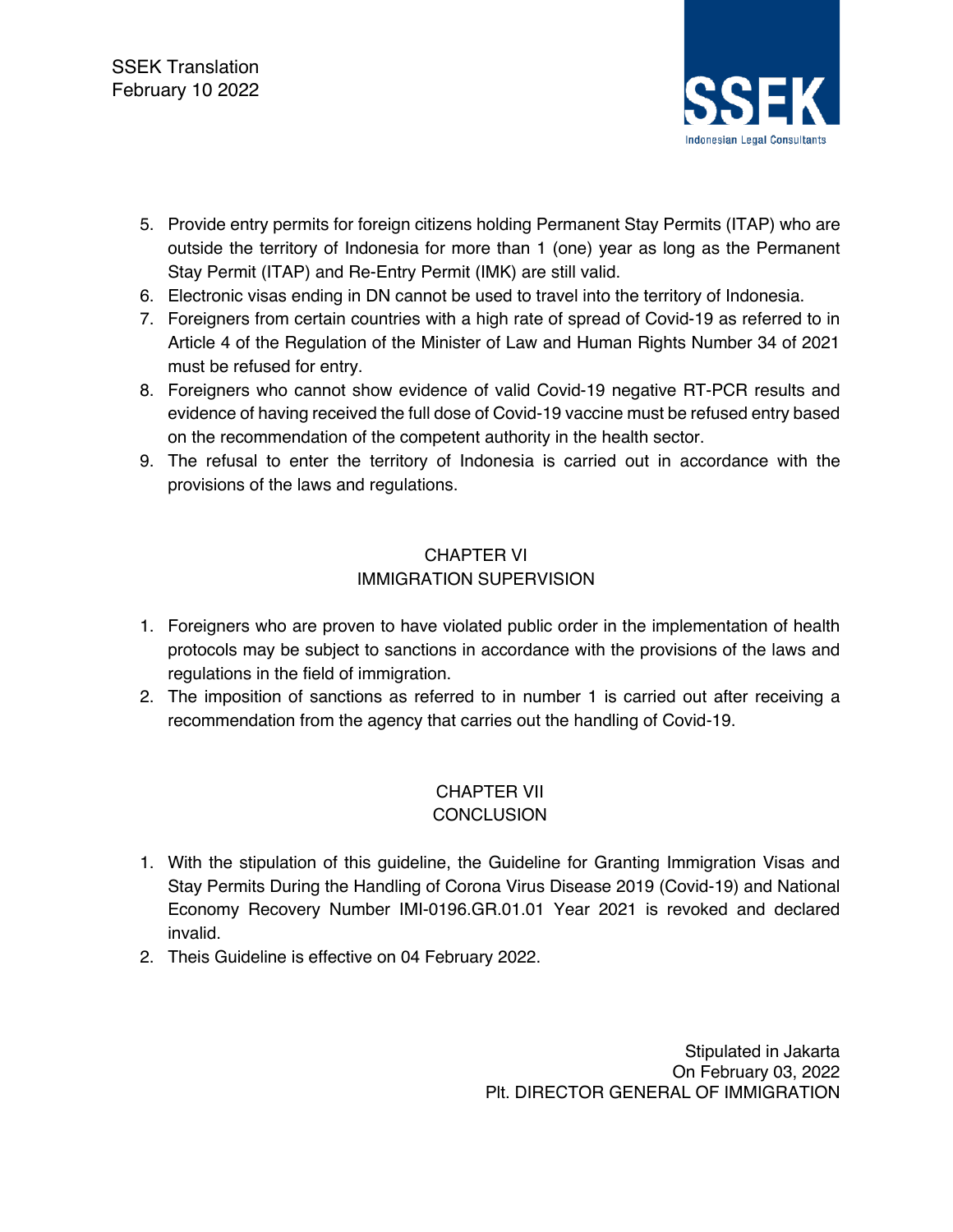

- 5. Provide entry permits for foreign citizens holding Permanent Stay Permits (ITAP) who are outside the territory of Indonesia for more than 1 (one) year as long as the Permanent Stay Permit (ITAP) and Re-Entry Permit (IMK) are still valid.
- 6. Electronic visas ending in DN cannot be used to travel into the territory of Indonesia.
- 7. Foreigners from certain countries with a high rate of spread of Covid-19 as referred to in Article 4 of the Regulation of the Minister of Law and Human Rights Number 34 of 2021 must be refused for entry.
- 8. Foreigners who cannot show evidence of valid Covid-19 negative RT-PCR results and evidence of having received the full dose of Covid-19 vaccine must be refused entry based on the recommendation of the competent authority in the health sector.
- 9. The refusal to enter the territory of Indonesia is carried out in accordance with the provisions of the laws and regulations.

## CHAPTER VI IMMIGRATION SUPERVISION

- 1. Foreigners who are proven to have violated public order in the implementation of health protocols may be subject to sanctions in accordance with the provisions of the laws and regulations in the field of immigration.
- 2. The imposition of sanctions as referred to in number 1 is carried out after receiving a recommendation from the agency that carries out the handling of Covid-19.

## CHAPTER VII **CONCLUSION**

- 1. With the stipulation of this guideline, the Guideline for Granting Immigration Visas and Stay Permits During the Handling of Corona Virus Disease 2019 (Covid-19) and National Economy Recovery Number IMI-0196.GR.01.01 Year 2021 is revoked and declared invalid.
- 2. Theis Guideline is effective on 04 February 2022.

Stipulated in Jakarta On February 03, 2022 Plt. DIRECTOR GENERAL OF IMMIGRATION